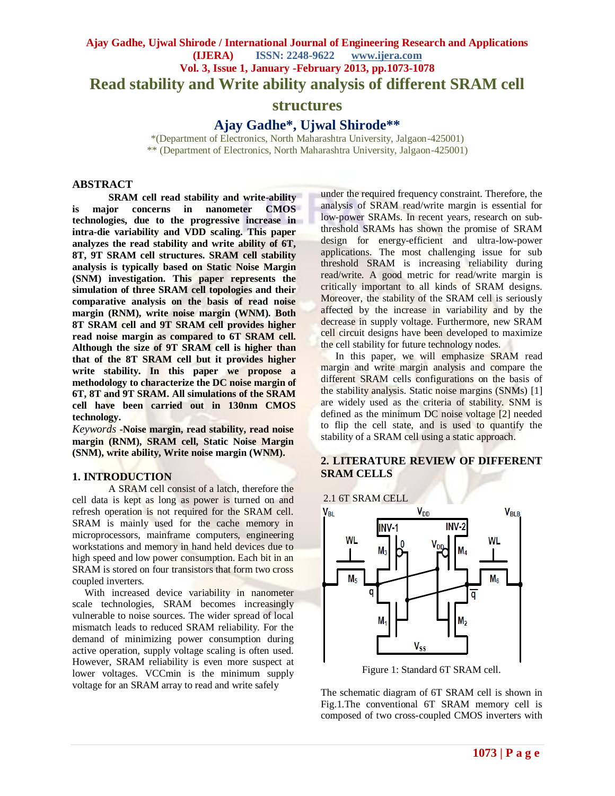# **Ajay Gadhe, Ujwal Shirode / International Journal of Engineering Research and Applications (IJERA) ISSN: 2248-9622 www.ijera.com Vol. 3, Issue 1, January -February 2013, pp.1073-1078 Read stability and Write ability analysis of different SRAM cell**

## **structures**

**Ajay Gadhe\*, Ujwal Shirode\*\***

\*(Department of Electronics, North Maharashtra University, Jalgaon-425001) \*\* (Department of Electronics, North Maharashtra University, Jalgaon-425001)

### **ABSTRACT**

**SRAM cell read stability and write-ability is major concerns in nanometer CMOS technologies, due to the progressive increase in intra-die variability and VDD scaling. This paper analyzes the read stability and write ability of 6T, 8T, 9T SRAM cell structures. SRAM cell stability analysis is typically based on Static Noise Margin (SNM) investigation. This paper represents the simulation of three SRAM cell topologies and their comparative analysis on the basis of read noise margin (RNM), write noise margin (WNM). Both 8T SRAM cell and 9T SRAM cell provides higher read noise margin as compared to 6T SRAM cell. Although the size of 9T SRAM cell is higher than that of the 8T SRAM cell but it provides higher write stability. In this paper we propose a methodology to characterize the DC noise margin of 6T, 8T and 9T SRAM. All simulations of the SRAM cell have been carried out in 130nm CMOS technology.**

*Keywords* **-Noise margin, read stability, read noise margin (RNM), SRAM cell, Static Noise Margin (SNM), write ability, Write noise margin (WNM).**

#### **1. INTRODUCTION**

A SRAM cell consist of a latch, therefore the cell data is kept as long as power is turned on and refresh operation is not required for the SRAM cell. SRAM is mainly used for the cache memory in microprocessors, mainframe computers, engineering workstations and memory in hand held devices due to high speed and low power consumption. Each bit in an SRAM is stored on four transistors that form two cross coupled inverters.

With increased device variability in nanometer scale technologies, SRAM becomes increasingly vulnerable to noise sources. The wider spread of local mismatch leads to reduced SRAM reliability. For the demand of minimizing power consumption during active operation, supply voltage scaling is often used. However, SRAM reliability is even more suspect at lower voltages. VCCmin is the minimum supply voltage for an SRAM array to read and write safely

under the required frequency constraint. Therefore, the analysis of SRAM read/write margin is essential for low-power SRAMs. In recent years, research on subthreshold SRAMs has shown the promise of SRAM design for energy-efficient and ultra-low-power applications. The most challenging issue for sub threshold SRAM is increasing reliability during read/write. A good metric for read/write margin is critically important to all kinds of SRAM designs. Moreover, the stability of the SRAM cell is seriously affected by the increase in variability and by the decrease in supply voltage. Furthermore, new SRAM cell circuit designs have been developed to maximize the cell stability for future technology nodes.

In this paper, we will emphasize SRAM read margin and write margin analysis and compare the different SRAM cells configurations on the basis of the stability analysis. Static noise margins (SNMs) [1] are widely used as the criteria of stability. SNM is defined as the minimum DC noise voltage [2] needed to flip the cell state, and is used to quantify the stability of a SRAM cell using a static approach.

### **2. LITERATURE REVIEW OF DIFFERENT SRAM CELLS**

## 2.1 6T SRAM CELL



Figure 1: Standard 6T SRAM cell.

The schematic diagram of 6T SRAM cell is shown in Fig.1.The conventional 6T SRAM memory cell is composed of two cross-coupled CMOS inverters with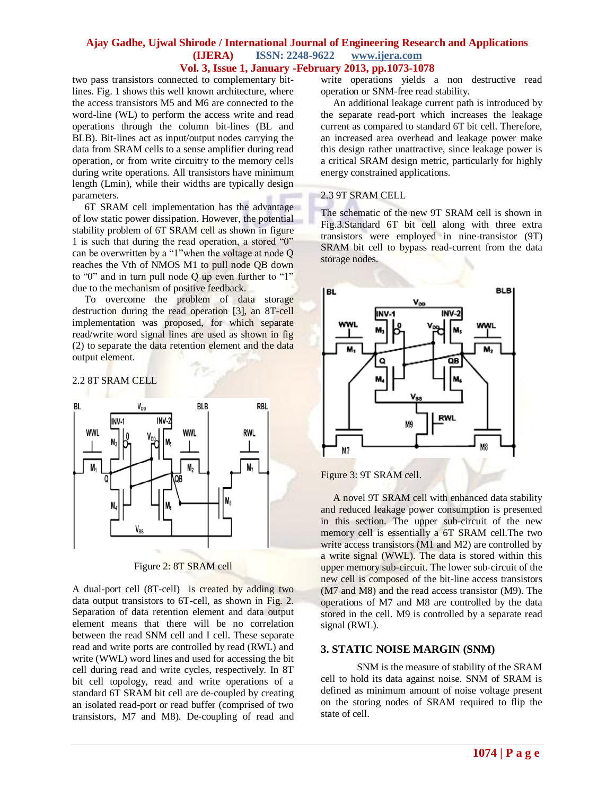#### **Ajay Gadhe, Ujwal Shirode / International Journal of Engineering Research and Applications (IJERA) ISSN: 2248-9622 www.ijera.com Vol. 3, Issue 1, January -February 2013, pp.1073-1078**

two pass transistors connected to complementary bitlines. Fig. 1 shows this well known architecture, where the access transistors M5 and M6 are connected to the word-line (WL) to perform the access write and read operations through the column bit-lines (BL and BLB). Bit-lines act as input/output nodes carrying the data from SRAM cells to a sense amplifier during read operation, or from write circuitry to the memory cells during write operations. All transistors have minimum length (Lmin), while their widths are typically design parameters.

 6T SRAM cell implementation has the advantage of low static power dissipation. However, the potential stability problem of 6T SRAM cell as shown in figure 1 is such that during the read operation, a stored "0" can be overwritten by a "1"when the voltage at node Q reaches the Vth of NMOS M1 to pull node QB down to "0" and in turn pull node Q up even further to "1" due to the mechanism of positive feedback.

 To overcome the problem of data storage destruction during the read operation [3], an 8T-cell implementation was proposed, for which separate read/write word signal lines are used as shown in fig (2) to separate the data retention element and the data output element.

2.2 8T SRAM CELL



Figure 2: 8T SRAM cell

A dual-port cell (8T-cell) is created by adding two data output transistors to 6T-cell, as shown in Fig. 2. Separation of data retention element and data output element means that there will be no correlation between the read SNM cell and I cell. These separate read and write ports are controlled by read (RWL) and write (WWL) word lines and used for accessing the bit cell during read and write cycles, respectively. In 8T bit cell topology, read and write operations of a standard 6T SRAM bit cell are de-coupled by creating an isolated read-port or read buffer (comprised of two transistors, M7 and M8). De-coupling of read and write operations yields a non destructive read operation or SNM-free read stability.

 An additional leakage current path is introduced by the separate read-port which increases the leakage current as compared to standard 6T bit cell. Therefore, an increased area overhead and leakage power make this design rather unattractive, since leakage power is a critical SRAM design metric, particularly for highly energy constrained applications.

#### 2.3 9T SRAM CELL

The schematic of the new 9T SRAM cell is shown in Fig.3.Standard 6T bit cell along with three extra transistors were employed in nine-transistor (9T) SRAM bit cell to bypass read-current from the data storage nodes.



Figure 3: 9T SRAM cell.

 A novel 9T SRAM cell with enhanced data stability and reduced leakage power consumption is presented in this section. The upper sub-circuit of the new memory cell is essentially a 6T SRAM cell.The two write access transistors (M1 and M2) are controlled by a write signal (WWL). The data is stored within this upper memory sub-circuit. The lower sub-circuit of the new cell is composed of the bit-line access transistors (M7 and M8) and the read access transistor (M9). The operations of M7 and M8 are controlled by the data stored in the cell. M9 is controlled by a separate read signal (RWL).

### **3. STATIC NOISE MARGIN (SNM)**

SNM is the measure of stability of the SRAM cell to hold its data against noise. SNM of SRAM is defined as minimum amount of noise voltage present on the storing nodes of SRAM required to flip the state of cell.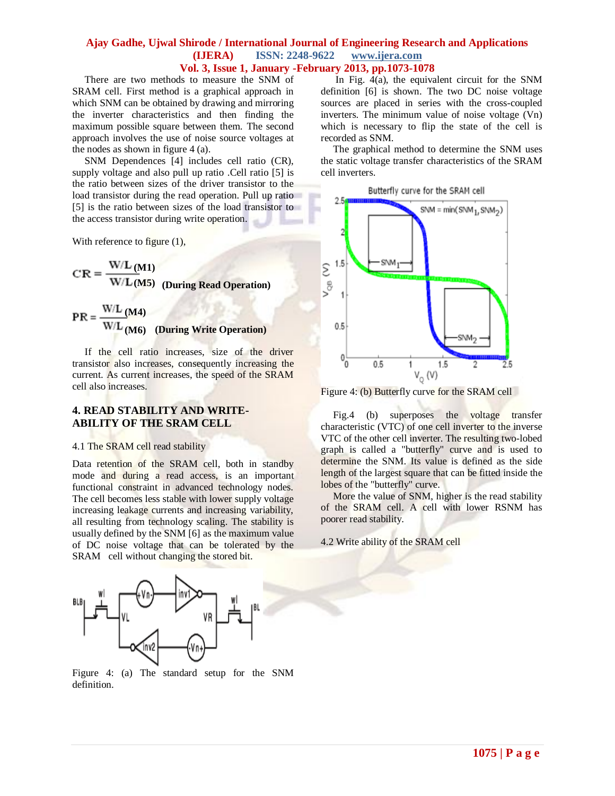#### **Ajay Gadhe, Ujwal Shirode / International Journal of Engineering Research and Applications (IJERA) ISSN: 2248-9622 www.ijera.com Vol. 3, Issue 1, January -February 2013, pp.1073-1078**

 There are two methods to measure the SNM of SRAM cell. First method is a graphical approach in which SNM can be obtained by drawing and mirroring the inverter characteristics and then finding the maximum possible square between them. The second approach involves the use of noise source voltages at the nodes as shown in figure 4 (a).

 SNM Dependences [4] includes cell ratio (CR), supply voltage and also pull up ratio .Cell ratio [5] is the ratio between sizes of the driver transistor to the load transistor during the read operation. Pull up ratio [5] is the ratio between sizes of the load transistor to the access transistor during write operation.

With reference to figure (1),

$$
CR = \frac{W/L (M1)}{W/L (M5)}
$$
 (During Read Operation)

$$
PR = \frac{WL (M4)}{WL (M6)}
$$
 (During Write Operation)

 If the cell ratio increases, size of the driver transistor also increases, consequently increasing the current. As current increases, the speed of the SRAM cell also increases.

#### **4. READ STABILITY AND WRITE-ABILITY OF THE SRAM CELL**

#### 4.1 The SRAM cell read stability

Data retention of the SRAM cell, both in standby mode and during a read access, is an important functional constraint in advanced technology nodes. The cell becomes less stable with lower supply voltage increasing leakage currents and increasing variability, all resulting from technology scaling. The stability is usually defined by the SNM [6] as the maximum value of DC noise voltage that can be tolerated by the SRAM cell without changing the stored bit.



Figure 4: (a) The standard setup for the SNM definition.

 In Fig. 4(a), the equivalent circuit for the SNM definition [6] is shown. The two DC noise voltage sources are placed in series with the cross-coupled inverters. The minimum value of noise voltage (Vn) which is necessary to flip the state of the cell is recorded as SNM.

 The graphical method to determine the SNM uses the static voltage transfer characteristics of the SRAM cell inverters.



Figure 4: (b) Butterfly curve for the SRAM cell

 Fig.4 (b) superposes the voltage transfer characteristic (VTC) of one cell inverter to the inverse VTC of the other cell inverter. The resulting two-lobed graph is called a "butterfly" curve and is used to determine the SNM. Its value is defined as the side length of the largest square that can be fitted inside the lobes of the "butterfly" curve.

More the value of SNM, higher is the read stability of the SRAM cell. A cell with lower RSNM has poorer read stability.

4.2 Write ability of the SRAM cell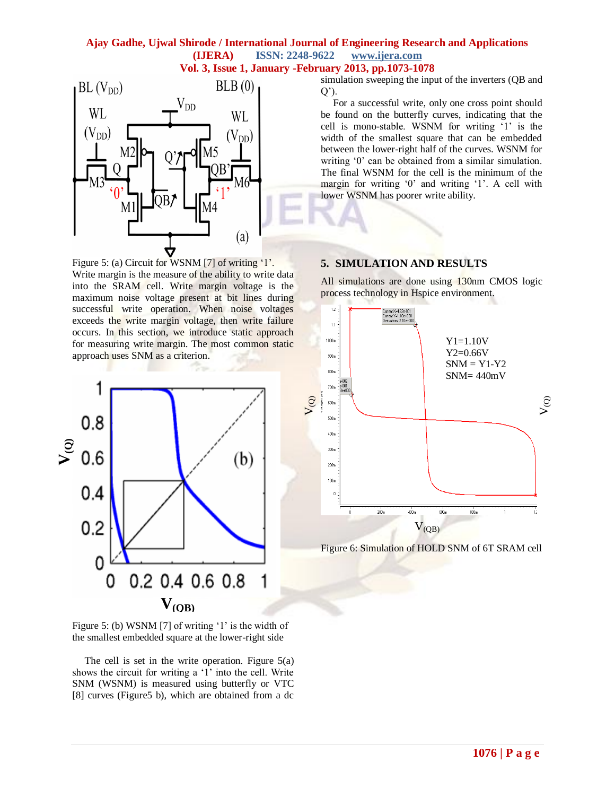# **Ajay Gadhe, Ujwal Shirode / International Journal of Engineering Research and Applications (IJERA) ISSN: 2248-9622 www.ijera.com**





Figure 5: (a) Circuit for WSNM [7] of writing '1'. Write margin is the measure of the ability to write data into the SRAM cell. Write margin voltage is the maximum noise voltage present at bit lines during successful write operation. When noise voltages exceeds the write margin voltage, then write failure occurs. In this section, we introduce static approach for measuring write margin. The most common static approach uses SNM as a criterion.



Figure 5: (b) WSNM [7] of writing  $'1'$  is the width of the smallest embedded square at the lower-right side

 The cell is set in the write operation. Figure 5(a) shows the circuit for writing a '1' into the cell. Write SNM (WSNM) is measured using butterfly or VTC [8] curves (Figure5 b), which are obtained from a dc simulation sweeping the input of the inverters (QB and  $Q$ <sup> $\cdot$ </sup>).

 For a successful write, only one cross point should be found on the butterfly curves, indicating that the cell is mono-stable. WSNM for writing "1" is the width of the smallest square that can be embedded between the lower-right half of the curves. WSNM for writing '0' can be obtained from a similar simulation. The final WSNM for the cell is the minimum of the margin for writing '0' and writing '1'. A cell with lower WSNM has poorer write ability.

### **5. SIMULATION AND RESULTS**

All simulations are done using 130nm CMOS logic process technology in Hspice environment.



Figure 6: Simulation of HOLD SNM of 6T SRAM cell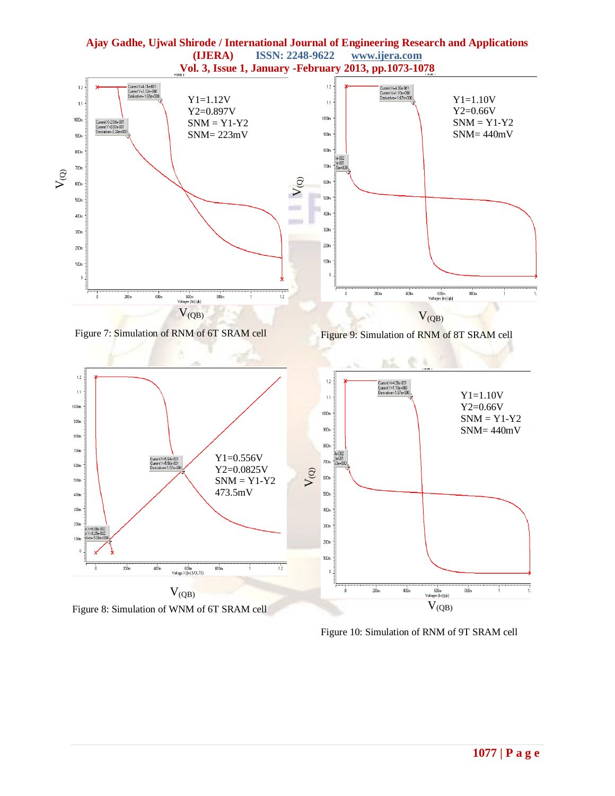

Figure 10: Simulation of RNM of 9T SRAM cell